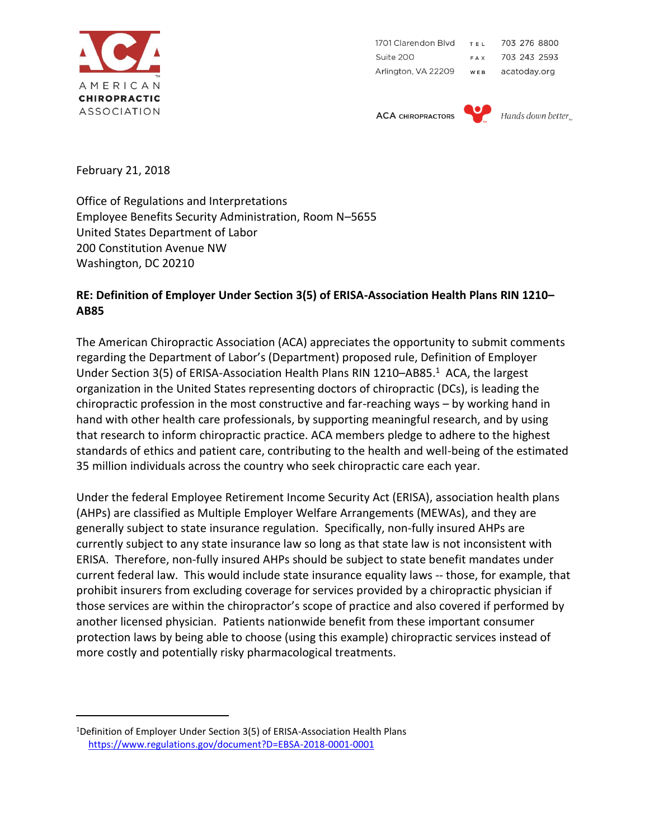

1701 Clarendon Blvd 703 276 8800 TEL Suite 200 703 243 2593 **FAX** Arlington, VA 22209 WEB acatoday.org

**ACA CHIROPRACTORS** 



February 21, 2018

 $\overline{a}$ 

Office of Regulations and Interpretations Employee Benefits Security Administration, Room N–5655 United States Department of Labor 200 Constitution Avenue NW Washington, DC 20210

## **RE: Definition of Employer Under Section 3(5) of ERISA-Association Health Plans RIN 1210– AB85**

The American Chiropractic Association (ACA) appreciates the opportunity to submit comments regarding the Department of Labor's (Department) proposed rule, Definition of Employer Under Section 3(5) of ERISA-Association Health Plans RIN 1210-AB85.<sup>1</sup> ACA, the largest organization in the United States representing doctors of chiropractic (DCs), is leading the chiropractic profession in the most constructive and far-reaching ways – by working hand in hand with other health care professionals, by supporting meaningful research, and by using that research to inform chiropractic practice. ACA members pledge to adhere to the highest standards of ethics and patient care, contributing to the health and well-being of the estimated 35 million individuals across the country who seek chiropractic care each year.

Under the federal Employee Retirement Income Security Act (ERISA), association health plans (AHPs) are classified as Multiple Employer Welfare Arrangements (MEWAs), and they are generally subject to state insurance regulation. Specifically, non-fully insured AHPs are currently subject to any state insurance law so long as that state law is not inconsistent with ERISA. Therefore, non-fully insured AHPs should be subject to state benefit mandates under current federal law. This would include state insurance equality laws -- those, for example, that prohibit insurers from excluding coverage for services provided by a chiropractic physician if those services are within the chiropractor's scope of practice and also covered if performed by another licensed physician. Patients nationwide benefit from these important consumer protection laws by being able to choose (using this example) chiropractic services instead of more costly and potentially risky pharmacological treatments.

<sup>&</sup>lt;sup>1</sup>Definition of Employer Under Section 3(5) of ERISA-Association Health Plans <https://www.regulations.gov/document?D=EBSA-2018-0001-0001>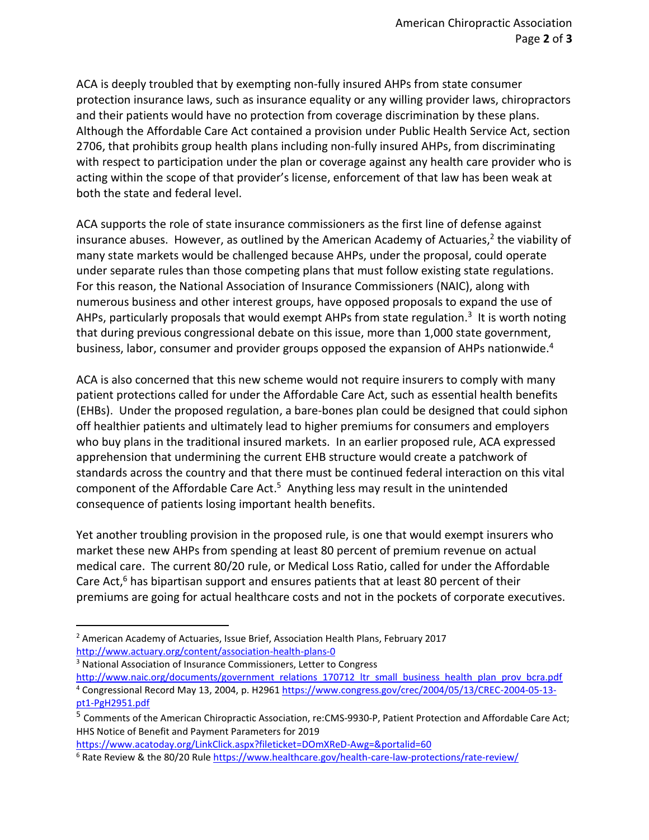ACA is deeply troubled that by exempting non-fully insured AHPs from state consumer protection insurance laws, such as insurance equality or any willing provider laws, chiropractors and their patients would have no protection from coverage discrimination by these plans. Although the Affordable Care Act contained a provision under Public Health Service Act, section 2706, that prohibits group health plans including non-fully insured AHPs, from discriminating with respect to participation under the plan or coverage against any health care provider who is acting within the scope of that provider's license, enforcement of that law has been weak at both the state and federal level.

ACA supports the role of state insurance commissioners as the first line of defense against insurance abuses. However, as outlined by the American Academy of Actuaries,<sup>2</sup> the viability of many state markets would be challenged because AHPs, under the proposal, could operate under separate rules than those competing plans that must follow existing state regulations. For this reason, the National Association of Insurance Commissioners (NAIC), along with numerous business and other interest groups, have opposed proposals to expand the use of AHPs, particularly proposals that would exempt AHPs from state regulation.<sup>3</sup> It is worth noting that during previous congressional debate on this issue, more than 1,000 state government, business, labor, consumer and provider groups opposed the expansion of AHPs nationwide.<sup>4</sup>

ACA is also concerned that this new scheme would not require insurers to comply with many patient protections called for under the Affordable Care Act, such as essential health benefits (EHBs). Under the proposed regulation, a bare-bones plan could be designed that could siphon off healthier patients and ultimately lead to higher premiums for consumers and employers who buy plans in the traditional insured markets. In an earlier proposed rule, ACA expressed apprehension that undermining the current EHB structure would create a patchwork of standards across the country and that there must be continued federal interaction on this vital component of the Affordable Care Act.<sup>5</sup> Anything less may result in the unintended consequence of patients losing important health benefits.

Yet another troubling provision in the proposed rule, is one that would exempt insurers who market these new AHPs from spending at least 80 percent of premium revenue on actual medical care. The current 80/20 rule, or Medical Loss Ratio, called for under the Affordable Care Act, $^6$  has bipartisan support and ensures patients that at least 80 percent of their premiums are going for actual healthcare costs and not in the pockets of corporate executives.

 $\overline{a}$ 

<https://www.acatoday.org/LinkClick.aspx?fileticket=DOmXReD-Awg=&portalid=60>

<sup>2</sup> American Academy of Actuaries, Issue Brief, Association Health Plans, February 2017 <http://www.actuary.org/content/association-health-plans-0>

<sup>&</sup>lt;sup>3</sup> National Association of Insurance Commissioners, Letter to Congress

[http://www.naic.org/documents/government\\_relations\\_170712\\_ltr\\_small\\_business\\_health\\_plan\\_prov\\_bcra.pdf](http://www.naic.org/documents/government_relations_170712_ltr_small_business_health_plan_prov_bcra.pdf) <sup>4</sup> Congressional Record May 13, 2004, p. H296[1 https://www.congress.gov/crec/2004/05/13/CREC-2004-05-13](https://www.congress.gov/crec/2004/05/13/CREC-2004-05-13-pt1-PgH2951.pdf) [pt1-PgH2951.pdf](https://www.congress.gov/crec/2004/05/13/CREC-2004-05-13-pt1-PgH2951.pdf)

<sup>5</sup> Comments of the American Chiropractic Association, re:CMS-9930-P, Patient Protection and Affordable Care Act; HHS Notice of Benefit and Payment Parameters for 2019

<sup>&</sup>lt;sup>6</sup> Rate Review & the 80/20 Rul[e https://www.healthcare.gov/health-care-law-protections/rate-review/](https://www.healthcare.gov/health-care-law-protections/rate-review/)